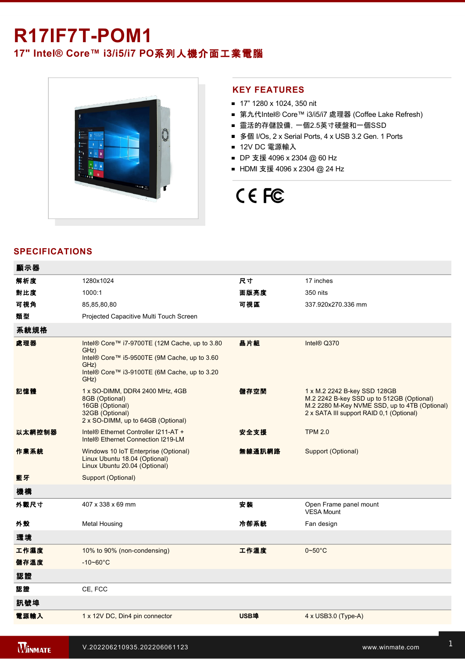## **R17IF7T-POM1**

### **17" Intel® Core™ i3/i5/i7 PO**系列人機介面工業電腦



#### **KEY FEATURES**

- 17" 1280 x 1024, 350 nit
- 第九代Intel® Core™ i3/i5/i7 處理器 (Coffee Lake Refresh)
- 靈活的存儲設備, 一個2.5英寸硬盤和一個SSD
- 多個 I/Os, 2 x Serial Ports, 4 x USB 3.2 Gen. 1 Ports
- 12V DC 電源輸入
- DP 支援 4096 x 2304 @ 60 Hz
- HDMI 支援 4096 x 2304 @ 24 Hz

# CE FC

#### **SPECIFICATIONS**

| 顯示器    |                                                                                                                                                                       |        |                                                                                                                                                                        |
|--------|-----------------------------------------------------------------------------------------------------------------------------------------------------------------------|--------|------------------------------------------------------------------------------------------------------------------------------------------------------------------------|
| 解析度    | 1280x1024                                                                                                                                                             | 尺寸     | 17 inches                                                                                                                                                              |
| 對比度    | 1000:1                                                                                                                                                                | 面版亮度   | 350 nits                                                                                                                                                               |
| 可視角    | 85,85,80,80                                                                                                                                                           | 可視區    | 337.920x270.336 mm                                                                                                                                                     |
| 類型     | Projected Capacitive Multi Touch Screen                                                                                                                               |        |                                                                                                                                                                        |
| 系統規格   |                                                                                                                                                                       |        |                                                                                                                                                                        |
| 處理器    | Intel® Core™ i7-9700TE (12M Cache, up to 3.80<br>GHz)<br>Intel® Core™ i5-9500TE (9M Cache, up to 3.60<br>GHz)<br>Intel® Core™ i3-9100TE (6M Cache, up to 3.20<br>GHz) | 晶片組    | Intel® Q370                                                                                                                                                            |
| 記憶體    | 1 x SO-DIMM, DDR4 2400 MHz, 4GB<br>8GB (Optional)<br>16GB (Optional)<br>32GB (Optional)<br>2 x SO-DIMM, up to 64GB (Optional)                                         | 儲存空間   | 1 x M.2 2242 B-key SSD 128GB<br>M.2 2242 B-key SSD up to 512GB (Optional)<br>M.2 2280 M-Key NVME SSD, up to 4TB (Optional)<br>2 x SATA III support RAID 0,1 (Optional) |
| 以太網控制器 | Intel® Ethernet Controller I211-AT +<br>Intel® Ethernet Connection I219-LM                                                                                            | 安全支援   | <b>TPM 2.0</b>                                                                                                                                                         |
| 作業系統   | Windows 10 IoT Enterprise (Optional)<br>Linux Ubuntu 18.04 (Optional)<br>Linux Ubuntu 20.04 (Optional)                                                                | 無線通訊網路 | Support (Optional)                                                                                                                                                     |
| 藍牙     | Support (Optional)                                                                                                                                                    |        |                                                                                                                                                                        |
| 機構     |                                                                                                                                                                       |        |                                                                                                                                                                        |
| 外觀尺寸   | 407 x 338 x 69 mm                                                                                                                                                     | 安裝     | Open Frame panel mount<br><b>VESA Mount</b>                                                                                                                            |
| 外殼     | <b>Metal Housing</b>                                                                                                                                                  | 冷卻系統   | Fan design                                                                                                                                                             |
| 環境     |                                                                                                                                                                       |        |                                                                                                                                                                        |
| 工作濕度   | 10% to 90% (non-condensing)                                                                                                                                           | 工作溫度   | $0 - 50$ °C                                                                                                                                                            |
| 儲存溫度   | $-10 - 60^{\circ}$ C                                                                                                                                                  |        |                                                                                                                                                                        |
| 認證     |                                                                                                                                                                       |        |                                                                                                                                                                        |
| 認證     | CE, FCC                                                                                                                                                               |        |                                                                                                                                                                        |
| 訊號埠    |                                                                                                                                                                       |        |                                                                                                                                                                        |
| 電源輸入   | 1 x 12V DC, Din4 pin connector                                                                                                                                        | USB埠   | $4 \times$ USB3.0 (Type-A)                                                                                                                                             |

<u>1 x RS23</u>

1 x HDMI 1.4 (Optional)